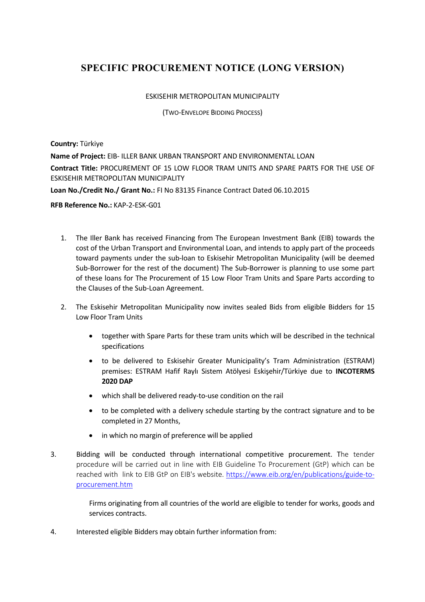## **SPECIFIC PROCUREMENT NOTICE (LONG VERSION)**

## ESKISEHIR METROPOLITAN MUNICIPALITY

(TWO-ENVELOPE BIDDING PROCESS)

**Country:** Türkiye

**Name of Project:** EIB- ILLER BANK URBAN TRANSPORT AND ENVIRONMENTAL LOAN **Contract Title:** PROCUREMENT OF 15 LOW FLOOR TRAM UNITS AND SPARE PARTS FOR THE USE OF ESKISEHIR METROPOLITAN MUNICIPALITY

**Loan No./Credit No./ Grant No.:** FI No 83135 Finance Contract Dated 06.10.2015

**RFB Reference No.:** KAP-2-ESK-G01

- 1. The Iller Bank has received Financing from The European Investment Bank (EIB) towards the cost of the Urban Transport and Environmental Loan, and intends to apply part of the proceeds toward payments under the sub-loan to Eskisehir Metropolitan Municipality (will be deemed Sub-Borrower for the rest of the document) The Sub-Borrower is planning to use some part of these loans for The Procurement of 15 Low Floor Tram Units and Spare Parts according to the Clauses of the Sub-Loan Agreement.
- 2. The Eskisehir Metropolitan Municipality now invites sealed Bids from eligible Bidders for 15 Low Floor Tram Units
	- together with Spare Parts for these tram units which will be described in the technical specifications
	- to be delivered to Eskisehir Greater Municipality's Tram Administration (ESTRAM) premises: ESTRAM Hafif Raylı Sistem Atölyesi Eskişehir/Türkiye due to **INCOTERMS 2020 DAP**
	- which shall be delivered ready-to-use condition on the rail
	- to be completed with a delivery schedule starting by the contract signature and to be completed in 27 Months,
	- in which no margin of preference will be applied
- 3. Bidding will be conducted through international competitive procurement. The tender procedure will be carried out in line with EIB Guideline To Procurement (GtP) which can be reached with link to EIB GtP on EIB's website. https://www.eib.org/en/publications/guide-toprocurement.htm

Firms originating from all countries of the world are eligible to tender for works, goods and services contracts.

4. Interested eligible Bidders may obtain further information from: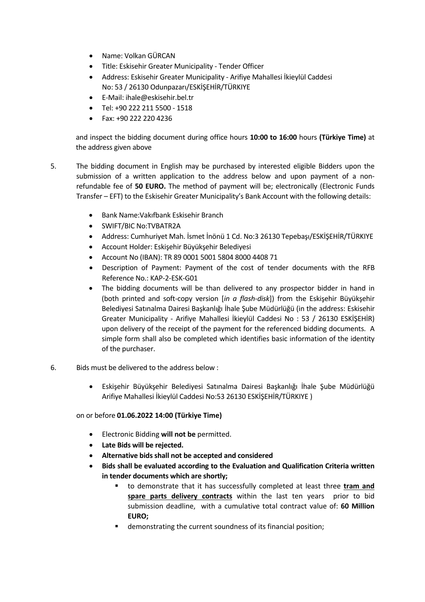- Name: Volkan GÜRCAN
- Title: Eskisehir Greater Municipality Tender Officer
- Address: Eskisehir Greater Municipality Arifiye Mahallesi İkieylül Caddesi No: 53 / 26130 Odunpazarı/ESKİŞEHİR/TÜRKIYE
- E-Mail: ihale@eskisehir.bel.tr
- Tel: +90 222 211 5500 1518
- Fax: +90 222 220 4236

and inspect the bidding document during office hours **10:00 to 16:00** hours **(Türkiye Time)** at the address given above

- 5. The bidding document in English may be purchased by interested eligible Bidders upon the submission of a written application to the address below and upon payment of a nonrefundable fee of **50 EURO.** The method of payment will be; electronically (Electronic Funds Transfer – EFT) to the Eskisehir Greater Municipality's Bank Account with the following details:
	- Bank Name:Vakıfbank Eskisehir Branch
	- SWIFT/BIC No:TVBATR2A
	- Address: Cumhuriyet Mah. İsmet İnönü 1 Cd. No:3 26130 Tepebaşı/ESKİŞEHİR/TÜRKIYE
	- Account Holder: Eskişehir Büyükşehir Belediyesi
	- Account No (IBAN): TR 89 0001 5001 5804 8000 4408 71
	- Description of Payment: Payment of the cost of tender documents with the RFB Reference No.: KAP-2-ESK-G01
	- The bidding documents will be than delivered to any prospector bidder in hand in (both printed and soft-copy version [*in a flash-disk*]) from the Eskişehir Büyükşehir Belediyesi Satınalma Dairesi Başkanlığı İhale Şube Müdürlüğü (in the address: Eskisehir Greater Municipality - Arifiye Mahallesi İkieylül Caddesi No : 53 / 26130 ESKİŞEHİR) upon delivery of the receipt of the payment for the referenced bidding documents. A simple form shall also be completed which identifies basic information of the identity of the purchaser.
- 6. Bids must be delivered to the address below :
	- Eskişehir Büyükşehir Belediyesi Satınalma Dairesi Başkanlığı İhale Şube Müdürlüğü Arifiye Mahallesi İkieylül Caddesi No:53 26130 ESKİŞEHİR/TÜRKIYE )

on or before **01.06.2022 14:00 (Türkiye Time)**

- Electronic Bidding **will not be** permitted.
- **Late Bids will be rejected.**
- **Alternative bids shall not be accepted and considered**
- **Bids shall be evaluated according to the Evaluation and Qualification Criteria written in tender documents which are shortly;**
	- § to demonstrate that it has successfully completed at least three **tram and spare parts delivery contracts** within the last ten years prior to bid submission deadline, with a cumulative total contract value of: **60 Million EURO;**
	- demonstrating the current soundness of its financial position;